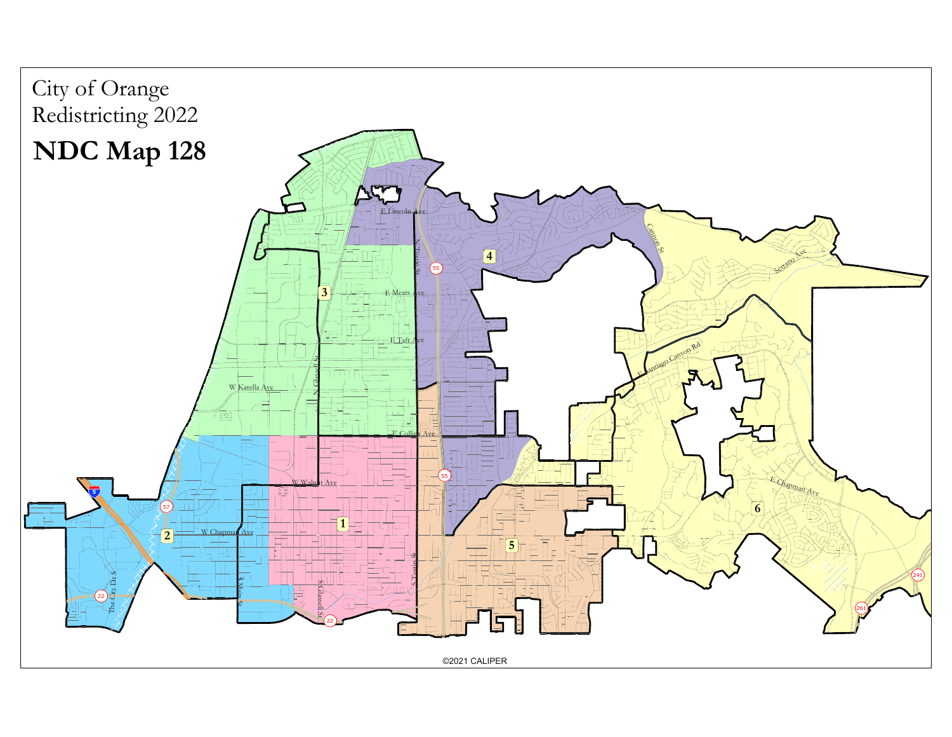